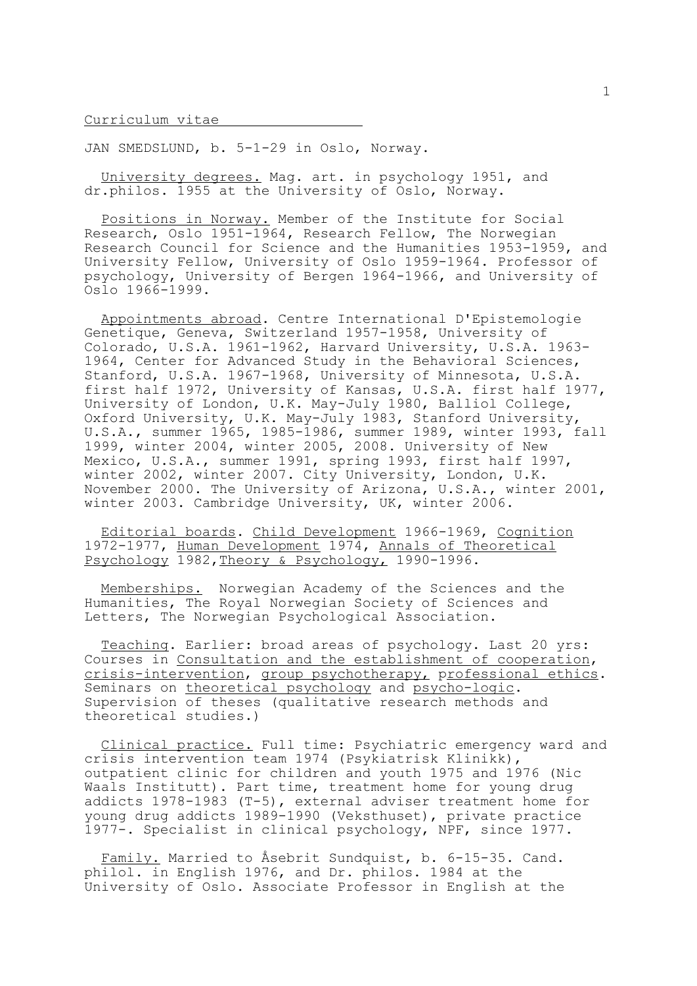## Curriculum vitae

JAN SMEDSLUND, b. 5-1-29 in Oslo, Norway.

 University degrees. Mag. art. in psychology 1951, and dr.philos. 1955 at the University of Oslo, Norway.

 Positions in Norway. Member of the Institute for Social Research, Oslo 1951-1964, Research Fellow, The Norwegian Research Council for Science and the Humanities 1953-1959, and University Fellow, University of Oslo 1959-1964. Professor of psychology, University of Bergen 1964-1966, and University of Oslo 1966-1999.

 Appointments abroad. Centre International D'Epistemologie Genetique, Geneva, Switzerland 1957-1958, University of Colorado, U.S.A. 1961-1962, Harvard University, U.S.A. 1963- 1964, Center for Advanced Study in the Behavioral Sciences, Stanford, U.S.A. 1967-1968, University of Minnesota, U.S.A. first half 1972, University of Kansas, U.S.A. first half 1977, University of London, U.K. May-July 1980, Balliol College, Oxford University, U.K. May-July 1983, Stanford University, U.S.A., summer 1965, 1985-1986, summer 1989, winter 1993, fall 1999, winter 2004, winter 2005, 2008. University of New Mexico, U.S.A., summer 1991, spring 1993, first half 1997, winter 2002, winter 2007. City University, London, U.K. November 2000. The University of Arizona, U.S.A., winter 2001, winter 2003. Cambridge University, UK, winter 2006.

 Editorial boards. Child Development 1966-1969, Cognition 1972-1977, Human Development 1974, Annals of Theoretical Psychology 1982, Theory & Psychology, 1990-1996.

 Memberships. Norwegian Academy of the Sciences and the Humanities, The Royal Norwegian Society of Sciences and Letters, The Norwegian Psychological Association.

 Teaching. Earlier: broad areas of psychology. Last 20 yrs: Courses in Consultation and the establishment of cooperation, crisis-intervention, group psychotherapy, professional ethics. Seminars on theoretical psychology and psycho-logic. Supervision of theses (qualitative research methods and theoretical studies.)

 Clinical practice. Full time: Psychiatric emergency ward and crisis intervention team 1974 (Psykiatrisk Klinikk), outpatient clinic for children and youth 1975 and 1976 (Nic Waals Institutt). Part time, treatment home for young drug addicts 1978-1983 (T-5), external adviser treatment home for young drug addicts 1989-1990 (Veksthuset), private practice 1977-. Specialist in clinical psychology, NPF, since 1977.

 Family. Married to Åsebrit Sundquist, b. 6-15-35. Cand. philol. in English 1976, and Dr. philos. 1984 at the University of Oslo. Associate Professor in English at the